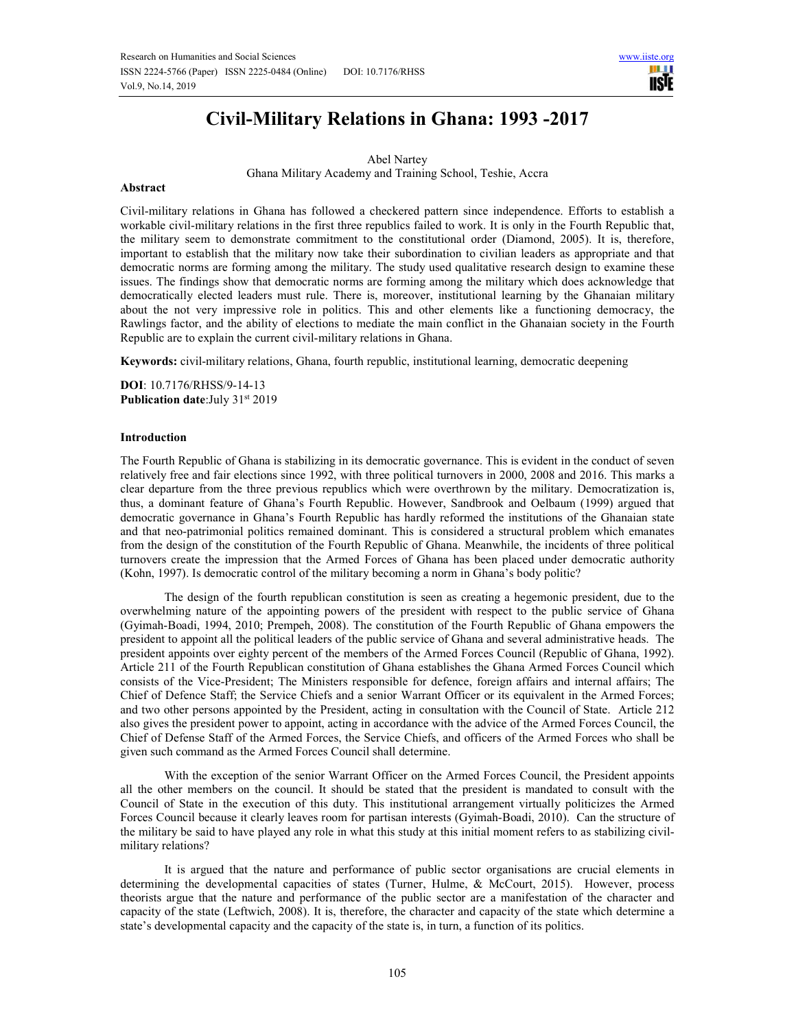

# **Civil-Military Relations in Ghana: 1993 -2017**

Abel Nartey Ghana Military Academy and Training School, Teshie, Accra

#### **Abstract**

Civil-military relations in Ghana has followed a checkered pattern since independence. Efforts to establish a workable civil-military relations in the first three republics failed to work. It is only in the Fourth Republic that, the military seem to demonstrate commitment to the constitutional order (Diamond, 2005). It is, therefore, important to establish that the military now take their subordination to civilian leaders as appropriate and that democratic norms are forming among the military. The study used qualitative research design to examine these issues. The findings show that democratic norms are forming among the military which does acknowledge that democratically elected leaders must rule. There is, moreover, institutional learning by the Ghanaian military about the not very impressive role in politics. This and other elements like a functioning democracy, the Rawlings factor, and the ability of elections to mediate the main conflict in the Ghanaian society in the Fourth Republic are to explain the current civil-military relations in Ghana.

**Keywords:** civil-military relations, Ghana, fourth republic, institutional learning, democratic deepening

**DOI**: 10.7176/RHSS/9-14-13 Publication date:July 31st 2019

#### **Introduction**

The Fourth Republic of Ghana is stabilizing in its democratic governance. This is evident in the conduct of seven relatively free and fair elections since 1992, with three political turnovers in 2000, 2008 and 2016. This marks a clear departure from the three previous republics which were overthrown by the military. Democratization is, thus, a dominant feature of Ghana's Fourth Republic. However, Sandbrook and Oelbaum (1999) argued that democratic governance in Ghana's Fourth Republic has hardly reformed the institutions of the Ghanaian state and that neo-patrimonial politics remained dominant. This is considered a structural problem which emanates from the design of the constitution of the Fourth Republic of Ghana. Meanwhile, the incidents of three political turnovers create the impression that the Armed Forces of Ghana has been placed under democratic authority (Kohn, 1997). Is democratic control of the military becoming a norm in Ghana's body politic?

The design of the fourth republican constitution is seen as creating a hegemonic president, due to the overwhelming nature of the appointing powers of the president with respect to the public service of Ghana (Gyimah-Boadi, 1994, 2010; Prempeh, 2008). The constitution of the Fourth Republic of Ghana empowers the president to appoint all the political leaders of the public service of Ghana and several administrative heads. The president appoints over eighty percent of the members of the Armed Forces Council (Republic of Ghana, 1992). Article 211 of the Fourth Republican constitution of Ghana establishes the Ghana Armed Forces Council which consists of the Vice-President; The Ministers responsible for defence, foreign affairs and internal affairs; The Chief of Defence Staff; the Service Chiefs and a senior Warrant Officer or its equivalent in the Armed Forces; and two other persons appointed by the President, acting in consultation with the Council of State. Article 212 also gives the president power to appoint, acting in accordance with the advice of the Armed Forces Council, the Chief of Defense Staff of the Armed Forces, the Service Chiefs, and officers of the Armed Forces who shall be given such command as the Armed Forces Council shall determine.

With the exception of the senior Warrant Officer on the Armed Forces Council, the President appoints all the other members on the council. It should be stated that the president is mandated to consult with the Council of State in the execution of this duty. This institutional arrangement virtually politicizes the Armed Forces Council because it clearly leaves room for partisan interests (Gyimah-Boadi, 2010). Can the structure of the military be said to have played any role in what this study at this initial moment refers to as stabilizing civilmilitary relations?

It is argued that the nature and performance of public sector organisations are crucial elements in determining the developmental capacities of states (Turner, Hulme, & McCourt, 2015). However, process theorists argue that the nature and performance of the public sector are a manifestation of the character and capacity of the state (Leftwich, 2008). It is, therefore, the character and capacity of the state which determine a state's developmental capacity and the capacity of the state is, in turn, a function of its politics.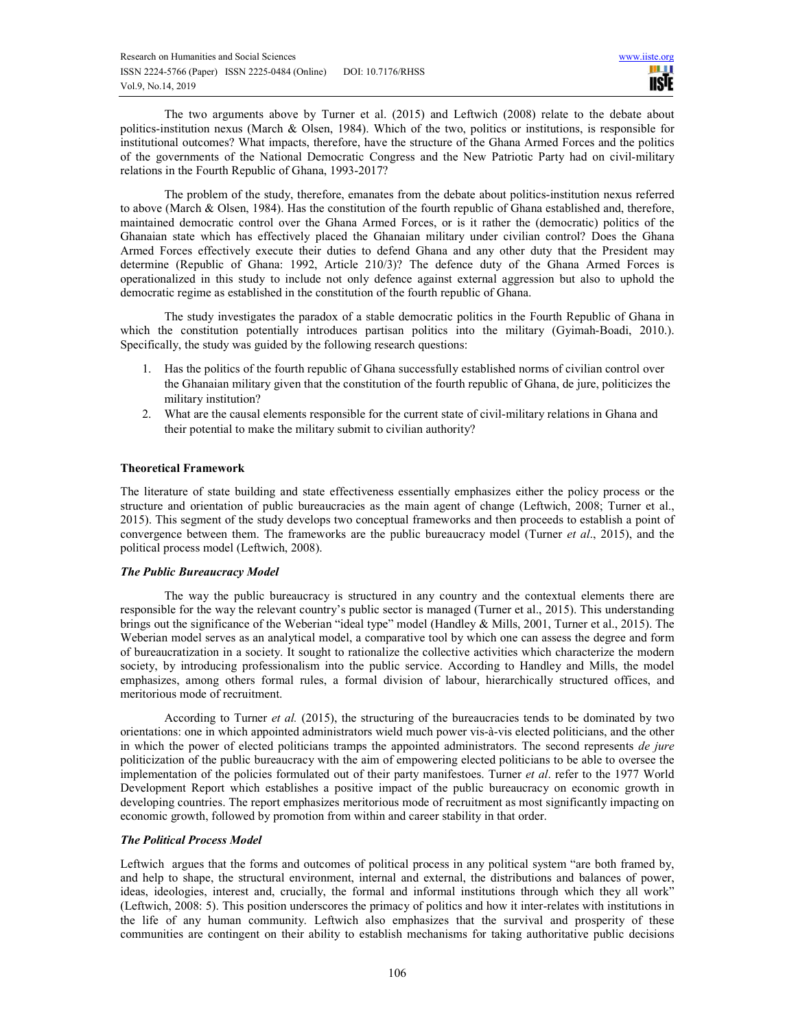The two arguments above by Turner et al. (2015) and Leftwich (2008) relate to the debate about politics-institution nexus (March & Olsen, 1984). Which of the two, politics or institutions, is responsible for institutional outcomes? What impacts, therefore, have the structure of the Ghana Armed Forces and the politics of the governments of the National Democratic Congress and the New Patriotic Party had on civil-military relations in the Fourth Republic of Ghana, 1993-2017?

The problem of the study, therefore, emanates from the debate about politics-institution nexus referred to above (March & Olsen, 1984). Has the constitution of the fourth republic of Ghana established and, therefore, maintained democratic control over the Ghana Armed Forces, or is it rather the (democratic) politics of the Ghanaian state which has effectively placed the Ghanaian military under civilian control? Does the Ghana Armed Forces effectively execute their duties to defend Ghana and any other duty that the President may determine (Republic of Ghana: 1992, Article 210/3)? The defence duty of the Ghana Armed Forces is operationalized in this study to include not only defence against external aggression but also to uphold the democratic regime as established in the constitution of the fourth republic of Ghana.

The study investigates the paradox of a stable democratic politics in the Fourth Republic of Ghana in which the constitution potentially introduces partisan politics into the military (Gyimah-Boadi, 2010.). Specifically, the study was guided by the following research questions:

- 1. Has the politics of the fourth republic of Ghana successfully established norms of civilian control over the Ghanaian military given that the constitution of the fourth republic of Ghana, de jure, politicizes the military institution?
- 2. What are the causal elements responsible for the current state of civil-military relations in Ghana and their potential to make the military submit to civilian authority?

# **Theoretical Framework**

The literature of state building and state effectiveness essentially emphasizes either the policy process or the structure and orientation of public bureaucracies as the main agent of change (Leftwich, 2008; Turner et al., 2015). This segment of the study develops two conceptual frameworks and then proceeds to establish a point of convergence between them. The frameworks are the public bureaucracy model (Turner *et al*., 2015), and the political process model (Leftwich, 2008).

# *The Public Bureaucracy Model*

The way the public bureaucracy is structured in any country and the contextual elements there are responsible for the way the relevant country's public sector is managed (Turner et al., 2015). This understanding brings out the significance of the Weberian "ideal type" model (Handley & Mills, 2001, Turner et al., 2015). The Weberian model serves as an analytical model, a comparative tool by which one can assess the degree and form of bureaucratization in a society. It sought to rationalize the collective activities which characterize the modern society, by introducing professionalism into the public service. According to Handley and Mills, the model emphasizes, among others formal rules, a formal division of labour, hierarchically structured offices, and meritorious mode of recruitment.

According to Turner *et al.* (2015), the structuring of the bureaucracies tends to be dominated by two orientations: one in which appointed administrators wield much power vis-à-vis elected politicians, and the other in which the power of elected politicians tramps the appointed administrators. The second represents *de jure* politicization of the public bureaucracy with the aim of empowering elected politicians to be able to oversee the implementation of the policies formulated out of their party manifestoes. Turner *et al*. refer to the 1977 World Development Report which establishes a positive impact of the public bureaucracy on economic growth in developing countries. The report emphasizes meritorious mode of recruitment as most significantly impacting on economic growth, followed by promotion from within and career stability in that order.

# *The Political Process Model*

Leftwich argues that the forms and outcomes of political process in any political system "are both framed by, and help to shape, the structural environment, internal and external, the distributions and balances of power, ideas, ideologies, interest and, crucially, the formal and informal institutions through which they all work" (Leftwich, 2008: 5). This position underscores the primacy of politics and how it inter-relates with institutions in the life of any human community. Leftwich also emphasizes that the survival and prosperity of these communities are contingent on their ability to establish mechanisms for taking authoritative public decisions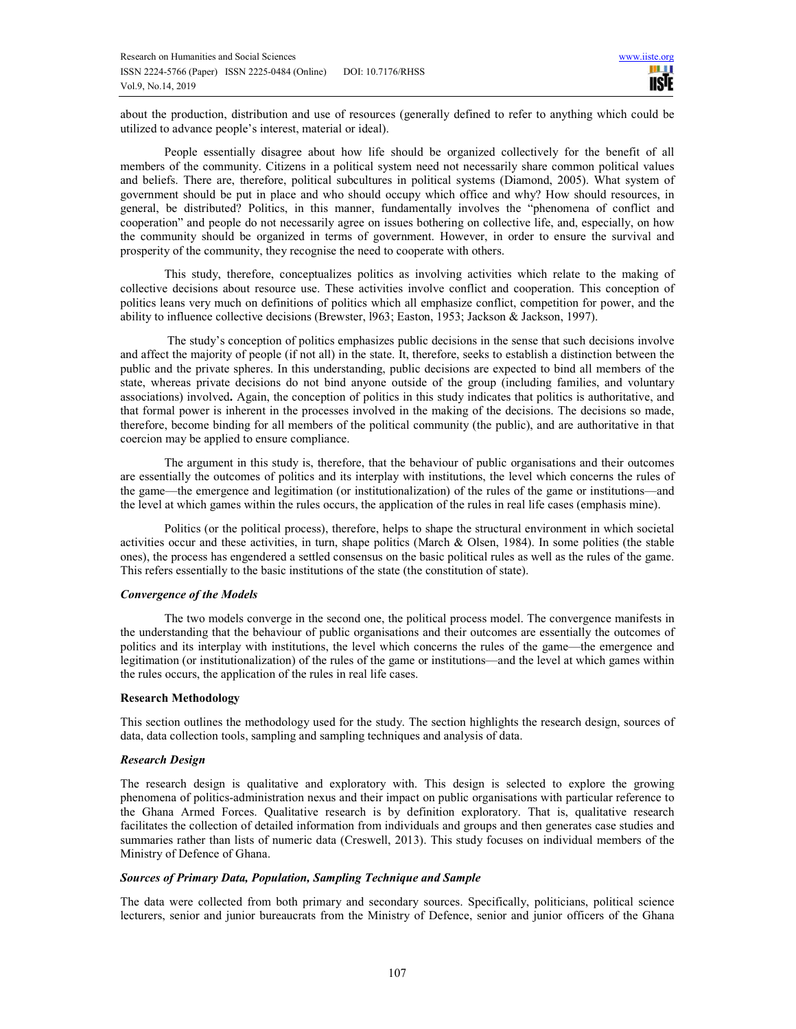about the production, distribution and use of resources (generally defined to refer to anything which could be utilized to advance people's interest, material or ideal).

People essentially disagree about how life should be organized collectively for the benefit of all members of the community. Citizens in a political system need not necessarily share common political values and beliefs. There are, therefore, political subcultures in political systems (Diamond, 2005). What system of government should be put in place and who should occupy which office and why? How should resources, in general, be distributed? Politics, in this manner, fundamentally involves the "phenomena of conflict and cooperation" and people do not necessarily agree on issues bothering on collective life, and, especially, on how the community should be organized in terms of government. However, in order to ensure the survival and prosperity of the community, they recognise the need to cooperate with others.

This study, therefore, conceptualizes politics as involving activities which relate to the making of collective decisions about resource use. These activities involve conflict and cooperation. This conception of politics leans very much on definitions of politics which all emphasize conflict, competition for power, and the ability to influence collective decisions (Brewster, l963; Easton, 1953; Jackson & Jackson, 1997).

 The study's conception of politics emphasizes public decisions in the sense that such decisions involve and affect the majority of people (if not all) in the state. It, therefore, seeks to establish a distinction between the public and the private spheres. In this understanding, public decisions are expected to bind all members of the state, whereas private decisions do not bind anyone outside of the group (including families, and voluntary associations) involved**.** Again, the conception of politics in this study indicates that politics is authoritative, and that formal power is inherent in the processes involved in the making of the decisions. The decisions so made, therefore, become binding for all members of the political community (the public), and are authoritative in that coercion may be applied to ensure compliance.

The argument in this study is, therefore, that the behaviour of public organisations and their outcomes are essentially the outcomes of politics and its interplay with institutions, the level which concerns the rules of the game—the emergence and legitimation (or institutionalization) of the rules of the game or institutions—and the level at which games within the rules occurs, the application of the rules in real life cases (emphasis mine).

Politics (or the political process), therefore, helps to shape the structural environment in which societal activities occur and these activities, in turn, shape politics (March & Olsen, 1984). In some polities (the stable ones), the process has engendered a settled consensus on the basic political rules as well as the rules of the game. This refers essentially to the basic institutions of the state (the constitution of state).

# *Convergence of the Models*

The two models converge in the second one, the political process model. The convergence manifests in the understanding that the behaviour of public organisations and their outcomes are essentially the outcomes of politics and its interplay with institutions, the level which concerns the rules of the game—the emergence and legitimation (or institutionalization) of the rules of the game or institutions—and the level at which games within the rules occurs, the application of the rules in real life cases.

## **Research Methodology**

This section outlines the methodology used for the study. The section highlights the research design, sources of data, data collection tools, sampling and sampling techniques and analysis of data.

#### *Research Design*

The research design is qualitative and exploratory with. This design is selected to explore the growing phenomena of politics-administration nexus and their impact on public organisations with particular reference to the Ghana Armed Forces. Qualitative research is by definition exploratory. That is, qualitative research facilitates the collection of detailed information from individuals and groups and then generates case studies and summaries rather than lists of numeric data (Creswell, 2013). This study focuses on individual members of the Ministry of Defence of Ghana.

#### *Sources of Primary Data, Population, Sampling Technique and Sample*

The data were collected from both primary and secondary sources. Specifically, politicians, political science lecturers, senior and junior bureaucrats from the Ministry of Defence, senior and junior officers of the Ghana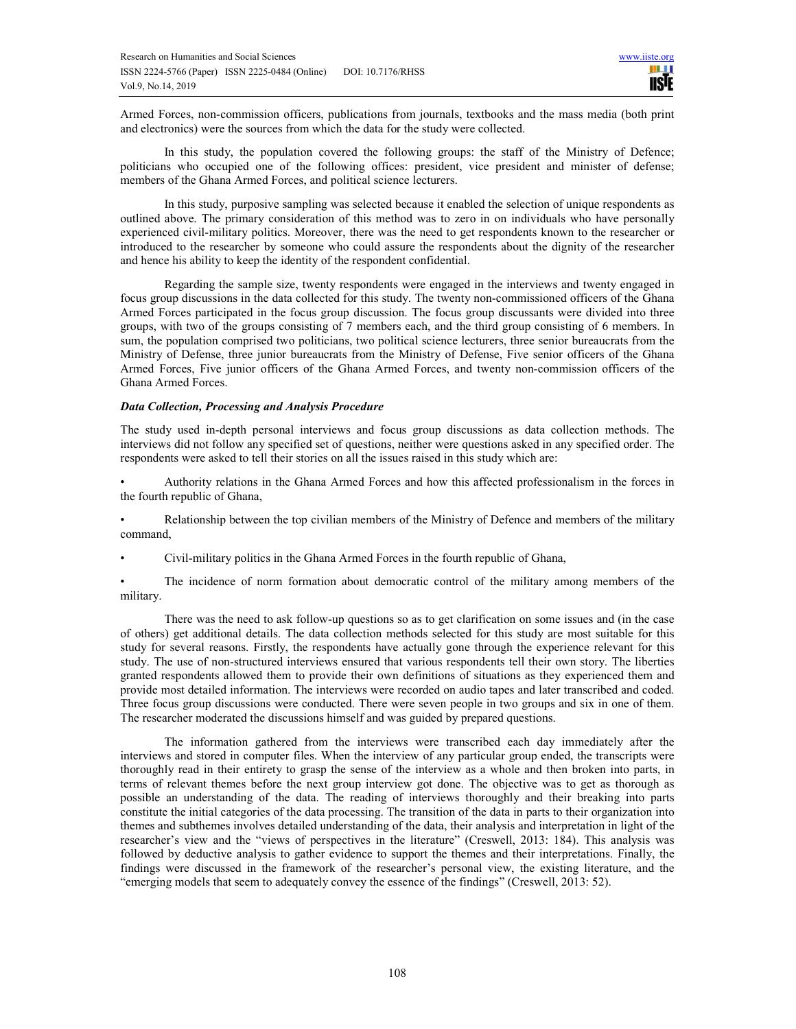Armed Forces, non-commission officers, publications from journals, textbooks and the mass media (both print and electronics) were the sources from which the data for the study were collected.

In this study, the population covered the following groups: the staff of the Ministry of Defence; politicians who occupied one of the following offices: president, vice president and minister of defense; members of the Ghana Armed Forces, and political science lecturers.

In this study, purposive sampling was selected because it enabled the selection of unique respondents as outlined above. The primary consideration of this method was to zero in on individuals who have personally experienced civil-military politics. Moreover, there was the need to get respondents known to the researcher or introduced to the researcher by someone who could assure the respondents about the dignity of the researcher and hence his ability to keep the identity of the respondent confidential.

Regarding the sample size, twenty respondents were engaged in the interviews and twenty engaged in focus group discussions in the data collected for this study. The twenty non-commissioned officers of the Ghana Armed Forces participated in the focus group discussion. The focus group discussants were divided into three groups, with two of the groups consisting of 7 members each, and the third group consisting of 6 members. In sum, the population comprised two politicians, two political science lecturers, three senior bureaucrats from the Ministry of Defense, three junior bureaucrats from the Ministry of Defense, Five senior officers of the Ghana Armed Forces, Five junior officers of the Ghana Armed Forces, and twenty non-commission officers of the Ghana Armed Forces.

#### *Data Collection, Processing and Analysis Procedure*

The study used in-depth personal interviews and focus group discussions as data collection methods. The interviews did not follow any specified set of questions, neither were questions asked in any specified order. The respondents were asked to tell their stories on all the issues raised in this study which are:

• Authority relations in the Ghana Armed Forces and how this affected professionalism in the forces in the fourth republic of Ghana,

• Relationship between the top civilian members of the Ministry of Defence and members of the military command,

• Civil-military politics in the Ghana Armed Forces in the fourth republic of Ghana,

The incidence of norm formation about democratic control of the military among members of the military.

There was the need to ask follow-up questions so as to get clarification on some issues and (in the case of others) get additional details. The data collection methods selected for this study are most suitable for this study for several reasons. Firstly, the respondents have actually gone through the experience relevant for this study. The use of non-structured interviews ensured that various respondents tell their own story. The liberties granted respondents allowed them to provide their own definitions of situations as they experienced them and provide most detailed information. The interviews were recorded on audio tapes and later transcribed and coded. Three focus group discussions were conducted. There were seven people in two groups and six in one of them. The researcher moderated the discussions himself and was guided by prepared questions.

The information gathered from the interviews were transcribed each day immediately after the interviews and stored in computer files. When the interview of any particular group ended, the transcripts were thoroughly read in their entirety to grasp the sense of the interview as a whole and then broken into parts, in terms of relevant themes before the next group interview got done. The objective was to get as thorough as possible an understanding of the data. The reading of interviews thoroughly and their breaking into parts constitute the initial categories of the data processing. The transition of the data in parts to their organization into themes and subthemes involves detailed understanding of the data, their analysis and interpretation in light of the researcher's view and the "views of perspectives in the literature" (Creswell, 2013: 184). This analysis was followed by deductive analysis to gather evidence to support the themes and their interpretations. Finally, the findings were discussed in the framework of the researcher's personal view, the existing literature, and the "emerging models that seem to adequately convey the essence of the findings" (Creswell, 2013: 52).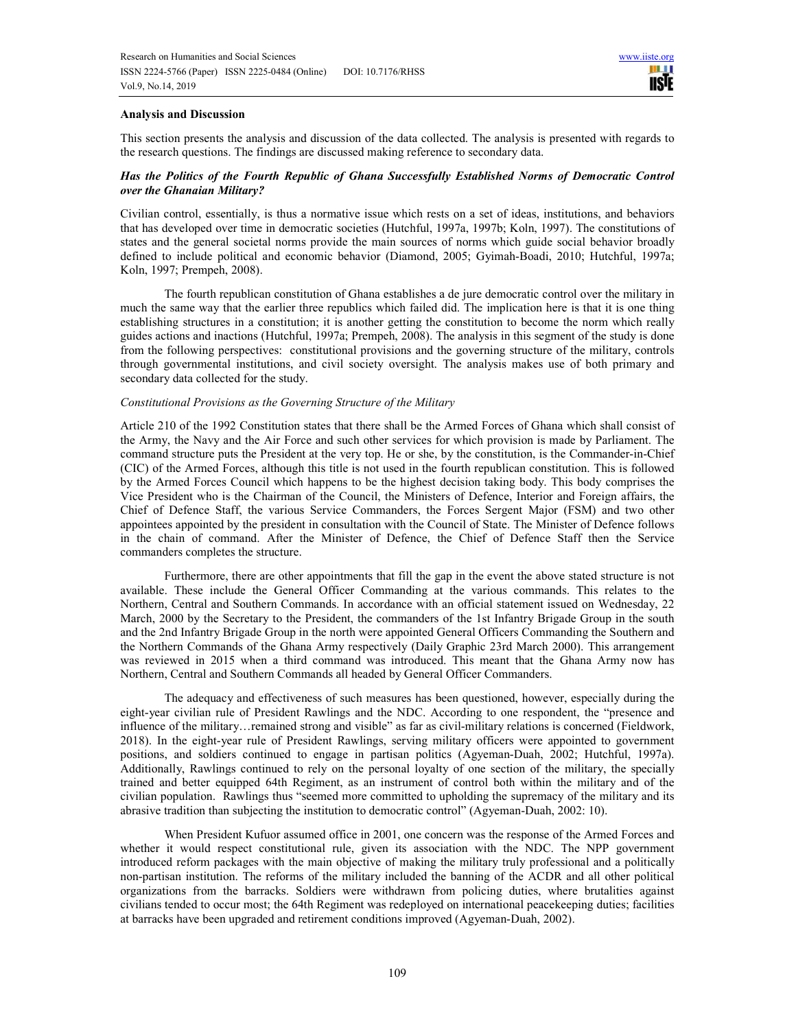### **Analysis and Discussion**

This section presents the analysis and discussion of the data collected. The analysis is presented with regards to the research questions. The findings are discussed making reference to secondary data.

# *Has the Politics of the Fourth Republic of Ghana Successfully Established Norms of Democratic Control over the Ghanaian Military?*

Civilian control, essentially, is thus a normative issue which rests on a set of ideas, institutions, and behaviors that has developed over time in democratic societies (Hutchful, 1997a, 1997b; Koln, 1997). The constitutions of states and the general societal norms provide the main sources of norms which guide social behavior broadly defined to include political and economic behavior (Diamond, 2005; Gyimah-Boadi, 2010; Hutchful, 1997a; Koln, 1997; Prempeh, 2008).

The fourth republican constitution of Ghana establishes a de jure democratic control over the military in much the same way that the earlier three republics which failed did. The implication here is that it is one thing establishing structures in a constitution; it is another getting the constitution to become the norm which really guides actions and inactions (Hutchful, 1997a; Prempeh, 2008). The analysis in this segment of the study is done from the following perspectives: constitutional provisions and the governing structure of the military, controls through governmental institutions, and civil society oversight. The analysis makes use of both primary and secondary data collected for the study.

## *Constitutional Provisions as the Governing Structure of the Military*

Article 210 of the 1992 Constitution states that there shall be the Armed Forces of Ghana which shall consist of the Army, the Navy and the Air Force and such other services for which provision is made by Parliament. The command structure puts the President at the very top. He or she, by the constitution, is the Commander-in-Chief (CIC) of the Armed Forces, although this title is not used in the fourth republican constitution. This is followed by the Armed Forces Council which happens to be the highest decision taking body. This body comprises the Vice President who is the Chairman of the Council, the Ministers of Defence, Interior and Foreign affairs, the Chief of Defence Staff, the various Service Commanders, the Forces Sergent Major (FSM) and two other appointees appointed by the president in consultation with the Council of State. The Minister of Defence follows in the chain of command. After the Minister of Defence, the Chief of Defence Staff then the Service commanders completes the structure.

Furthermore, there are other appointments that fill the gap in the event the above stated structure is not available. These include the General Officer Commanding at the various commands. This relates to the Northern, Central and Southern Commands. In accordance with an official statement issued on Wednesday, 22 March, 2000 by the Secretary to the President, the commanders of the 1st Infantry Brigade Group in the south and the 2nd Infantry Brigade Group in the north were appointed General Officers Commanding the Southern and the Northern Commands of the Ghana Army respectively (Daily Graphic 23rd March 2000). This arrangement was reviewed in 2015 when a third command was introduced. This meant that the Ghana Army now has Northern, Central and Southern Commands all headed by General Officer Commanders.

The adequacy and effectiveness of such measures has been questioned, however, especially during the eight-year civilian rule of President Rawlings and the NDC. According to one respondent, the "presence and influence of the military…remained strong and visible" as far as civil-military relations is concerned (Fieldwork, 2018). In the eight-year rule of President Rawlings, serving military officers were appointed to government positions, and soldiers continued to engage in partisan politics (Agyeman-Duah, 2002; Hutchful, 1997a). Additionally, Rawlings continued to rely on the personal loyalty of one section of the military, the specially trained and better equipped 64th Regiment, as an instrument of control both within the military and of the civilian population. Rawlings thus "seemed more committed to upholding the supremacy of the military and its abrasive tradition than subjecting the institution to democratic control" (Agyeman-Duah, 2002: 10).

When President Kufuor assumed office in 2001, one concern was the response of the Armed Forces and whether it would respect constitutional rule, given its association with the NDC. The NPP government introduced reform packages with the main objective of making the military truly professional and a politically non-partisan institution. The reforms of the military included the banning of the ACDR and all other political organizations from the barracks. Soldiers were withdrawn from policing duties, where brutalities against civilians tended to occur most; the 64th Regiment was redeployed on international peacekeeping duties; facilities at barracks have been upgraded and retirement conditions improved (Agyeman-Duah, 2002).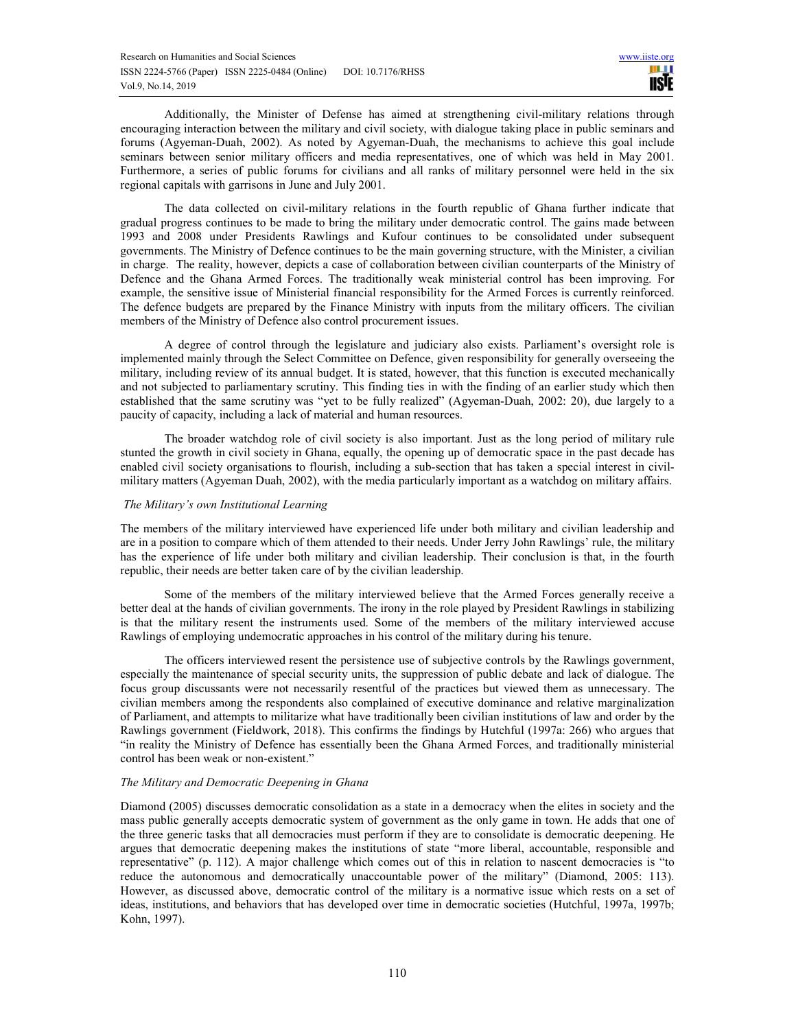Additionally, the Minister of Defense has aimed at strengthening civil-military relations through encouraging interaction between the military and civil society, with dialogue taking place in public seminars and forums (Agyeman-Duah, 2002). As noted by Agyeman-Duah, the mechanisms to achieve this goal include seminars between senior military officers and media representatives, one of which was held in May 2001. Furthermore, a series of public forums for civilians and all ranks of military personnel were held in the six regional capitals with garrisons in June and July 2001.

The data collected on civil-military relations in the fourth republic of Ghana further indicate that gradual progress continues to be made to bring the military under democratic control. The gains made between 1993 and 2008 under Presidents Rawlings and Kufour continues to be consolidated under subsequent governments. The Ministry of Defence continues to be the main governing structure, with the Minister, a civilian in charge. The reality, however, depicts a case of collaboration between civilian counterparts of the Ministry of Defence and the Ghana Armed Forces. The traditionally weak ministerial control has been improving. For example, the sensitive issue of Ministerial financial responsibility for the Armed Forces is currently reinforced. The defence budgets are prepared by the Finance Ministry with inputs from the military officers. The civilian members of the Ministry of Defence also control procurement issues.

 A degree of control through the legislature and judiciary also exists. Parliament's oversight role is implemented mainly through the Select Committee on Defence, given responsibility for generally overseeing the military, including review of its annual budget. It is stated, however, that this function is executed mechanically and not subjected to parliamentary scrutiny. This finding ties in with the finding of an earlier study which then established that the same scrutiny was "yet to be fully realized" (Agyeman-Duah, 2002: 20), due largely to a paucity of capacity, including a lack of material and human resources.

The broader watchdog role of civil society is also important. Just as the long period of military rule stunted the growth in civil society in Ghana, equally, the opening up of democratic space in the past decade has enabled civil society organisations to flourish, including a sub-section that has taken a special interest in civilmilitary matters (Agyeman Duah, 2002), with the media particularly important as a watchdog on military affairs.

# *The Military's own Institutional Learning*

The members of the military interviewed have experienced life under both military and civilian leadership and are in a position to compare which of them attended to their needs. Under Jerry John Rawlings' rule, the military has the experience of life under both military and civilian leadership. Their conclusion is that, in the fourth republic, their needs are better taken care of by the civilian leadership.

Some of the members of the military interviewed believe that the Armed Forces generally receive a better deal at the hands of civilian governments. The irony in the role played by President Rawlings in stabilizing is that the military resent the instruments used. Some of the members of the military interviewed accuse Rawlings of employing undemocratic approaches in his control of the military during his tenure.

The officers interviewed resent the persistence use of subjective controls by the Rawlings government, especially the maintenance of special security units, the suppression of public debate and lack of dialogue. The focus group discussants were not necessarily resentful of the practices but viewed them as unnecessary. The civilian members among the respondents also complained of executive dominance and relative marginalization of Parliament, and attempts to militarize what have traditionally been civilian institutions of law and order by the Rawlings government (Fieldwork, 2018). This confirms the findings by Hutchful (1997a: 266) who argues that "in reality the Ministry of Defence has essentially been the Ghana Armed Forces, and traditionally ministerial control has been weak or non-existent."

#### *The Military and Democratic Deepening in Ghana*

Diamond (2005) discusses democratic consolidation as a state in a democracy when the elites in society and the mass public generally accepts democratic system of government as the only game in town. He adds that one of the three generic tasks that all democracies must perform if they are to consolidate is democratic deepening. He argues that democratic deepening makes the institutions of state "more liberal, accountable, responsible and representative" (p. 112). A major challenge which comes out of this in relation to nascent democracies is "to reduce the autonomous and democratically unaccountable power of the military" (Diamond, 2005: 113). However, as discussed above, democratic control of the military is a normative issue which rests on a set of ideas, institutions, and behaviors that has developed over time in democratic societies (Hutchful, 1997a, 1997b; Kohn, 1997).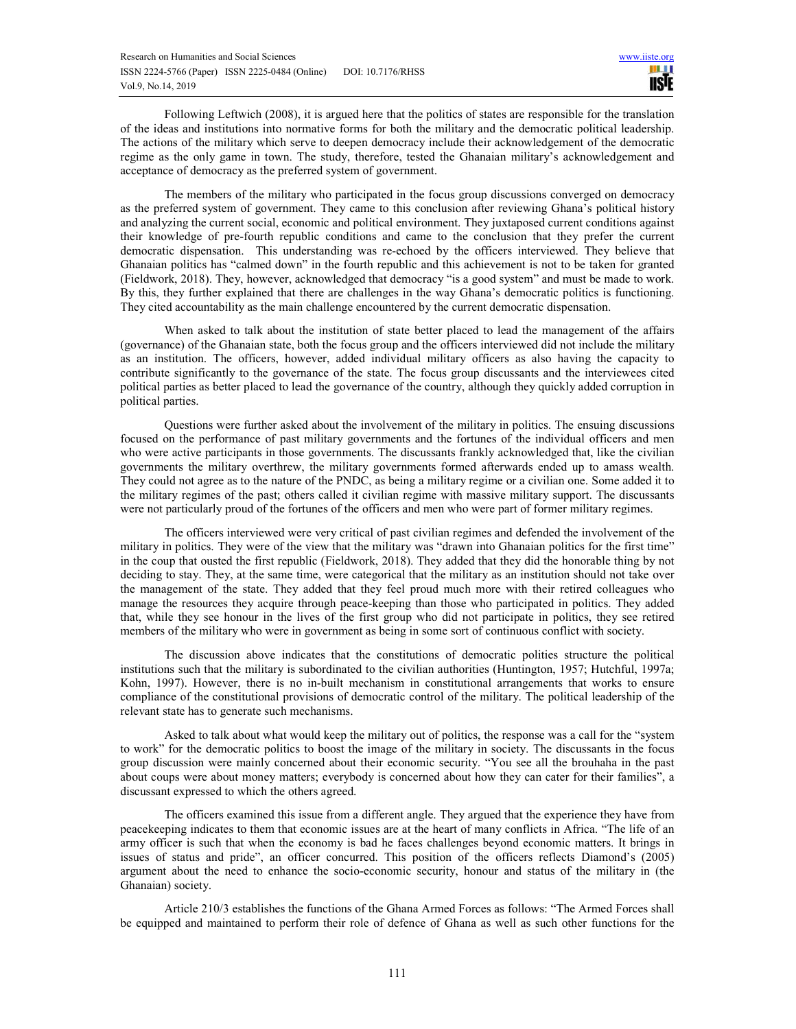Following Leftwich (2008), it is argued here that the politics of states are responsible for the translation of the ideas and institutions into normative forms for both the military and the democratic political leadership. The actions of the military which serve to deepen democracy include their acknowledgement of the democratic regime as the only game in town. The study, therefore, tested the Ghanaian military's acknowledgement and acceptance of democracy as the preferred system of government.

The members of the military who participated in the focus group discussions converged on democracy as the preferred system of government. They came to this conclusion after reviewing Ghana's political history and analyzing the current social, economic and political environment. They juxtaposed current conditions against their knowledge of pre-fourth republic conditions and came to the conclusion that they prefer the current democratic dispensation. This understanding was re-echoed by the officers interviewed. They believe that Ghanaian politics has "calmed down" in the fourth republic and this achievement is not to be taken for granted (Fieldwork, 2018). They, however, acknowledged that democracy "is a good system" and must be made to work. By this, they further explained that there are challenges in the way Ghana's democratic politics is functioning. They cited accountability as the main challenge encountered by the current democratic dispensation.

When asked to talk about the institution of state better placed to lead the management of the affairs (governance) of the Ghanaian state, both the focus group and the officers interviewed did not include the military as an institution. The officers, however, added individual military officers as also having the capacity to contribute significantly to the governance of the state. The focus group discussants and the interviewees cited political parties as better placed to lead the governance of the country, although they quickly added corruption in political parties.

Questions were further asked about the involvement of the military in politics. The ensuing discussions focused on the performance of past military governments and the fortunes of the individual officers and men who were active participants in those governments. The discussants frankly acknowledged that, like the civilian governments the military overthrew, the military governments formed afterwards ended up to amass wealth. They could not agree as to the nature of the PNDC, as being a military regime or a civilian one. Some added it to the military regimes of the past; others called it civilian regime with massive military support. The discussants were not particularly proud of the fortunes of the officers and men who were part of former military regimes.

The officers interviewed were very critical of past civilian regimes and defended the involvement of the military in politics. They were of the view that the military was "drawn into Ghanaian politics for the first time" in the coup that ousted the first republic (Fieldwork, 2018). They added that they did the honorable thing by not deciding to stay. They, at the same time, were categorical that the military as an institution should not take over the management of the state. They added that they feel proud much more with their retired colleagues who manage the resources they acquire through peace-keeping than those who participated in politics. They added that, while they see honour in the lives of the first group who did not participate in politics, they see retired members of the military who were in government as being in some sort of continuous conflict with society.

The discussion above indicates that the constitutions of democratic polities structure the political institutions such that the military is subordinated to the civilian authorities (Huntington, 1957; Hutchful, 1997a; Kohn, 1997). However, there is no in-built mechanism in constitutional arrangements that works to ensure compliance of the constitutional provisions of democratic control of the military. The political leadership of the relevant state has to generate such mechanisms.

Asked to talk about what would keep the military out of politics, the response was a call for the "system to work" for the democratic politics to boost the image of the military in society. The discussants in the focus group discussion were mainly concerned about their economic security. "You see all the brouhaha in the past about coups were about money matters; everybody is concerned about how they can cater for their families", a discussant expressed to which the others agreed.

The officers examined this issue from a different angle. They argued that the experience they have from peacekeeping indicates to them that economic issues are at the heart of many conflicts in Africa. "The life of an army officer is such that when the economy is bad he faces challenges beyond economic matters. It brings in issues of status and pride", an officer concurred. This position of the officers reflects Diamond's (2005) argument about the need to enhance the socio-economic security, honour and status of the military in (the Ghanaian) society.

Article 210/3 establishes the functions of the Ghana Armed Forces as follows: "The Armed Forces shall be equipped and maintained to perform their role of defence of Ghana as well as such other functions for the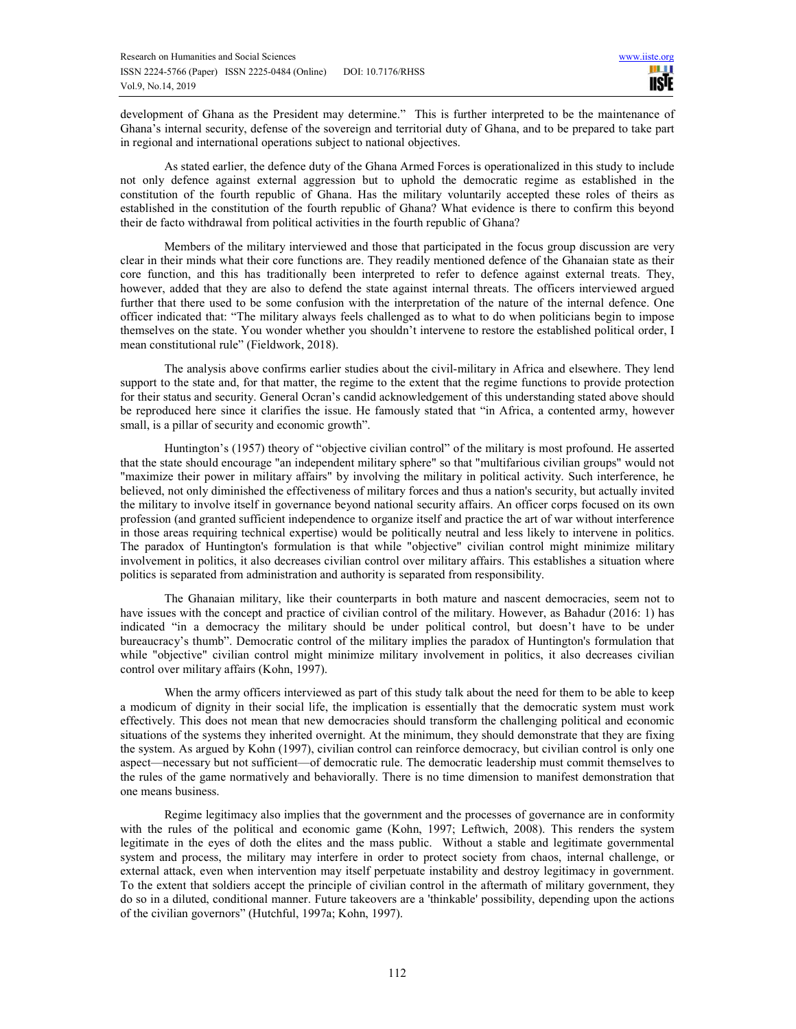development of Ghana as the President may determine." This is further interpreted to be the maintenance of Ghana's internal security, defense of the sovereign and territorial duty of Ghana, and to be prepared to take part in regional and international operations subject to national objectives.

As stated earlier, the defence duty of the Ghana Armed Forces is operationalized in this study to include not only defence against external aggression but to uphold the democratic regime as established in the constitution of the fourth republic of Ghana. Has the military voluntarily accepted these roles of theirs as established in the constitution of the fourth republic of Ghana? What evidence is there to confirm this beyond their de facto withdrawal from political activities in the fourth republic of Ghana?

Members of the military interviewed and those that participated in the focus group discussion are very clear in their minds what their core functions are. They readily mentioned defence of the Ghanaian state as their core function, and this has traditionally been interpreted to refer to defence against external treats. They, however, added that they are also to defend the state against internal threats. The officers interviewed argued further that there used to be some confusion with the interpretation of the nature of the internal defence. One officer indicated that: "The military always feels challenged as to what to do when politicians begin to impose themselves on the state. You wonder whether you shouldn't intervene to restore the established political order, I mean constitutional rule" (Fieldwork, 2018).

The analysis above confirms earlier studies about the civil-military in Africa and elsewhere. They lend support to the state and, for that matter, the regime to the extent that the regime functions to provide protection for their status and security. General Ocran's candid acknowledgement of this understanding stated above should be reproduced here since it clarifies the issue. He famously stated that "in Africa, a contented army, however small, is a pillar of security and economic growth".

Huntington's (1957) theory of "objective civilian control" of the military is most profound. He asserted that the state should encourage "an independent military sphere" so that "multifarious civilian groups" would not "maximize their power in military affairs" by involving the military in political activity. Such interference, he believed, not only diminished the effectiveness of military forces and thus a nation's security, but actually invited the military to involve itself in governance beyond national security affairs. An officer corps focused on its own profession (and granted sufficient independence to organize itself and practice the art of war without interference in those areas requiring technical expertise) would be politically neutral and less likely to intervene in politics. The paradox of Huntington's formulation is that while "objective" civilian control might minimize military involvement in politics, it also decreases civilian control over military affairs. This establishes a situation where politics is separated from administration and authority is separated from responsibility.

The Ghanaian military, like their counterparts in both mature and nascent democracies, seem not to have issues with the concept and practice of civilian control of the military. However, as Bahadur (2016: 1) has indicated "in a democracy the military should be under political control, but doesn't have to be under bureaucracy's thumb". Democratic control of the military implies the paradox of Huntington's formulation that while "objective" civilian control might minimize military involvement in politics, it also decreases civilian control over military affairs (Kohn, 1997).

When the army officers interviewed as part of this study talk about the need for them to be able to keep a modicum of dignity in their social life, the implication is essentially that the democratic system must work effectively. This does not mean that new democracies should transform the challenging political and economic situations of the systems they inherited overnight. At the minimum, they should demonstrate that they are fixing the system. As argued by Kohn (1997), civilian control can reinforce democracy, but civilian control is only one aspect—necessary but not sufficient—of democratic rule. The democratic leadership must commit themselves to the rules of the game normatively and behaviorally. There is no time dimension to manifest demonstration that one means business.

Regime legitimacy also implies that the government and the processes of governance are in conformity with the rules of the political and economic game (Kohn, 1997; Leftwich, 2008). This renders the system legitimate in the eyes of doth the elites and the mass public. Without a stable and legitimate governmental system and process, the military may interfere in order to protect society from chaos, internal challenge, or external attack, even when intervention may itself perpetuate instability and destroy legitimacy in government. To the extent that soldiers accept the principle of civilian control in the aftermath of military government, they do so in a diluted, conditional manner. Future takeovers are a 'thinkable' possibility, depending upon the actions of the civilian governors" (Hutchful, 1997a; Kohn, 1997).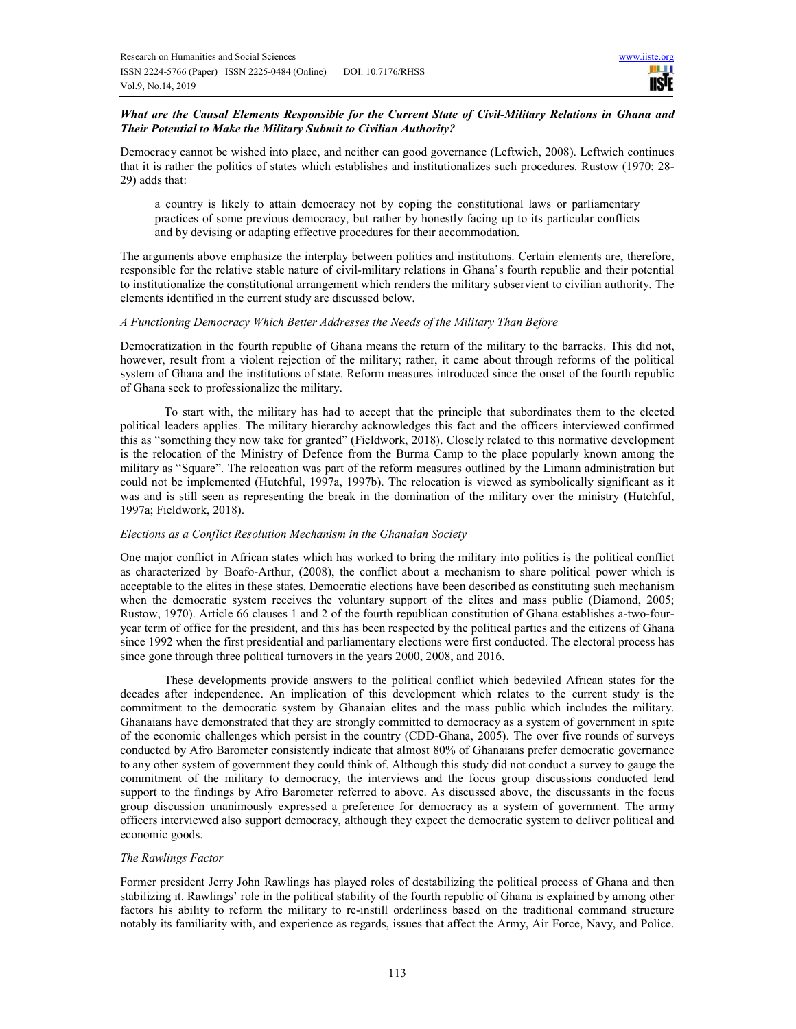# *What are the Causal Elements Responsible for the Current State of Civil-Military Relations in Ghana and Their Potential to Make the Military Submit to Civilian Authority?*

Democracy cannot be wished into place, and neither can good governance (Leftwich, 2008). Leftwich continues that it is rather the politics of states which establishes and institutionalizes such procedures. Rustow (1970: 28- 29) adds that:

a country is likely to attain democracy not by coping the constitutional laws or parliamentary practices of some previous democracy, but rather by honestly facing up to its particular conflicts and by devising or adapting effective procedures for their accommodation.

The arguments above emphasize the interplay between politics and institutions. Certain elements are, therefore, responsible for the relative stable nature of civil-military relations in Ghana's fourth republic and their potential to institutionalize the constitutional arrangement which renders the military subservient to civilian authority. The elements identified in the current study are discussed below.

## *A Functioning Democracy Which Better Addresses the Needs of the Military Than Before*

Democratization in the fourth republic of Ghana means the return of the military to the barracks. This did not, however, result from a violent rejection of the military; rather, it came about through reforms of the political system of Ghana and the institutions of state. Reform measures introduced since the onset of the fourth republic of Ghana seek to professionalize the military.

To start with, the military has had to accept that the principle that subordinates them to the elected political leaders applies. The military hierarchy acknowledges this fact and the officers interviewed confirmed this as "something they now take for granted" (Fieldwork, 2018). Closely related to this normative development is the relocation of the Ministry of Defence from the Burma Camp to the place popularly known among the military as "Square". The relocation was part of the reform measures outlined by the Limann administration but could not be implemented (Hutchful, 1997a, 1997b). The relocation is viewed as symbolically significant as it was and is still seen as representing the break in the domination of the military over the ministry (Hutchful, 1997a; Fieldwork, 2018).

#### *Elections as a Conflict Resolution Mechanism in the Ghanaian Society*

One major conflict in African states which has worked to bring the military into politics is the political conflict as characterized by Boafo-Arthur, (2008), the conflict about a mechanism to share political power which is acceptable to the elites in these states. Democratic elections have been described as constituting such mechanism when the democratic system receives the voluntary support of the elites and mass public (Diamond, 2005; Rustow, 1970). Article 66 clauses 1 and 2 of the fourth republican constitution of Ghana establishes a-two-fouryear term of office for the president, and this has been respected by the political parties and the citizens of Ghana since 1992 when the first presidential and parliamentary elections were first conducted. The electoral process has since gone through three political turnovers in the years 2000, 2008, and 2016.

These developments provide answers to the political conflict which bedeviled African states for the decades after independence. An implication of this development which relates to the current study is the commitment to the democratic system by Ghanaian elites and the mass public which includes the military. Ghanaians have demonstrated that they are strongly committed to democracy as a system of government in spite of the economic challenges which persist in the country (CDD-Ghana, 2005). The over five rounds of surveys conducted by Afro Barometer consistently indicate that almost 80% of Ghanaians prefer democratic governance to any other system of government they could think of. Although this study did not conduct a survey to gauge the commitment of the military to democracy, the interviews and the focus group discussions conducted lend support to the findings by Afro Barometer referred to above. As discussed above, the discussants in the focus group discussion unanimously expressed a preference for democracy as a system of government. The army officers interviewed also support democracy, although they expect the democratic system to deliver political and economic goods.

# *The Rawlings Factor*

Former president Jerry John Rawlings has played roles of destabilizing the political process of Ghana and then stabilizing it. Rawlings' role in the political stability of the fourth republic of Ghana is explained by among other factors his ability to reform the military to re-instill orderliness based on the traditional command structure notably its familiarity with, and experience as regards, issues that affect the Army, Air Force, Navy, and Police.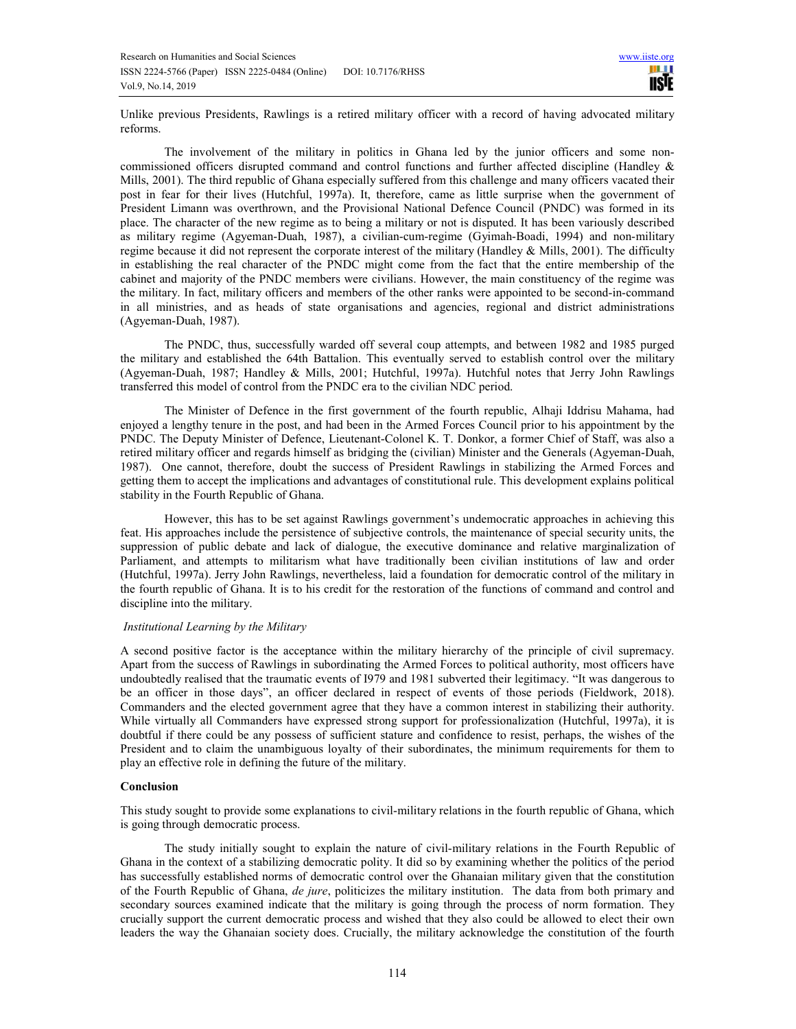Unlike previous Presidents, Rawlings is a retired military officer with a record of having advocated military reforms.

The involvement of the military in politics in Ghana led by the junior officers and some noncommissioned officers disrupted command and control functions and further affected discipline (Handley & Mills, 2001). The third republic of Ghana especially suffered from this challenge and many officers vacated their post in fear for their lives (Hutchful, 1997a). It, therefore, came as little surprise when the government of President Limann was overthrown, and the Provisional National Defence Council (PNDC) was formed in its place. The character of the new regime as to being a military or not is disputed. It has been variously described as military regime (Agyeman-Duah, 1987), a civilian-cum-regime (Gyimah‐Boadi, 1994) and non-military regime because it did not represent the corporate interest of the military (Handley & Mills, 2001). The difficulty in establishing the real character of the PNDC might come from the fact that the entire membership of the cabinet and majority of the PNDC members were civilians. However, the main constituency of the regime was the military. In fact, military officers and members of the other ranks were appointed to be second-in-command in all ministries, and as heads of state organisations and agencies, regional and district administrations (Agyeman-Duah, 1987).

The PNDC, thus, successfully warded off several coup attempts, and between 1982 and 1985 purged the military and established the 64th Battalion. This eventually served to establish control over the military (Agyeman-Duah, 1987; Handley & Mills, 2001; Hutchful, 1997a). Hutchful notes that Jerry John Rawlings transferred this model of control from the PNDC era to the civilian NDC period.

The Minister of Defence in the first government of the fourth republic, Alhaji Iddrisu Mahama, had enjoyed a lengthy tenure in the post, and had been in the Armed Forces Council prior to his appointment by the PNDC. The Deputy Minister of Defence, Lieutenant-Colonel K. T. Donkor, a former Chief of Staff, was also a retired military officer and regards himself as bridging the (civilian) Minister and the Generals (Agyeman-Duah, 1987). One cannot, therefore, doubt the success of President Rawlings in stabilizing the Armed Forces and getting them to accept the implications and advantages of constitutional rule. This development explains political stability in the Fourth Republic of Ghana.

However, this has to be set against Rawlings government's undemocratic approaches in achieving this feat. His approaches include the persistence of subjective controls, the maintenance of special security units, the suppression of public debate and lack of dialogue, the executive dominance and relative marginalization of Parliament, and attempts to militarism what have traditionally been civilian institutions of law and order (Hutchful, 1997a). Jerry John Rawlings, nevertheless, laid a foundation for democratic control of the military in the fourth republic of Ghana. It is to his credit for the restoration of the functions of command and control and discipline into the military.

#### *Institutional Learning by the Military*

A second positive factor is the acceptance within the military hierarchy of the principle of civil supremacy. Apart from the success of Rawlings in subordinating the Armed Forces to political authority, most officers have undoubtedly realised that the traumatic events of I979 and 1981 subverted their legitimacy. "It was dangerous to be an officer in those days", an officer declared in respect of events of those periods (Fieldwork, 2018). Commanders and the elected government agree that they have a common interest in stabilizing their authority. While virtually all Commanders have expressed strong support for professionalization (Hutchful, 1997a), it is doubtful if there could be any possess of sufficient stature and confidence to resist, perhaps, the wishes of the President and to claim the unambiguous loyalty of their subordinates, the minimum requirements for them to play an effective role in defining the future of the military.

# **Conclusion**

This study sought to provide some explanations to civil-military relations in the fourth republic of Ghana, which is going through democratic process.

The study initially sought to explain the nature of civil-military relations in the Fourth Republic of Ghana in the context of a stabilizing democratic polity. It did so by examining whether the politics of the period has successfully established norms of democratic control over the Ghanaian military given that the constitution of the Fourth Republic of Ghana, *de jure*, politicizes the military institution. The data from both primary and secondary sources examined indicate that the military is going through the process of norm formation. They crucially support the current democratic process and wished that they also could be allowed to elect their own leaders the way the Ghanaian society does. Crucially, the military acknowledge the constitution of the fourth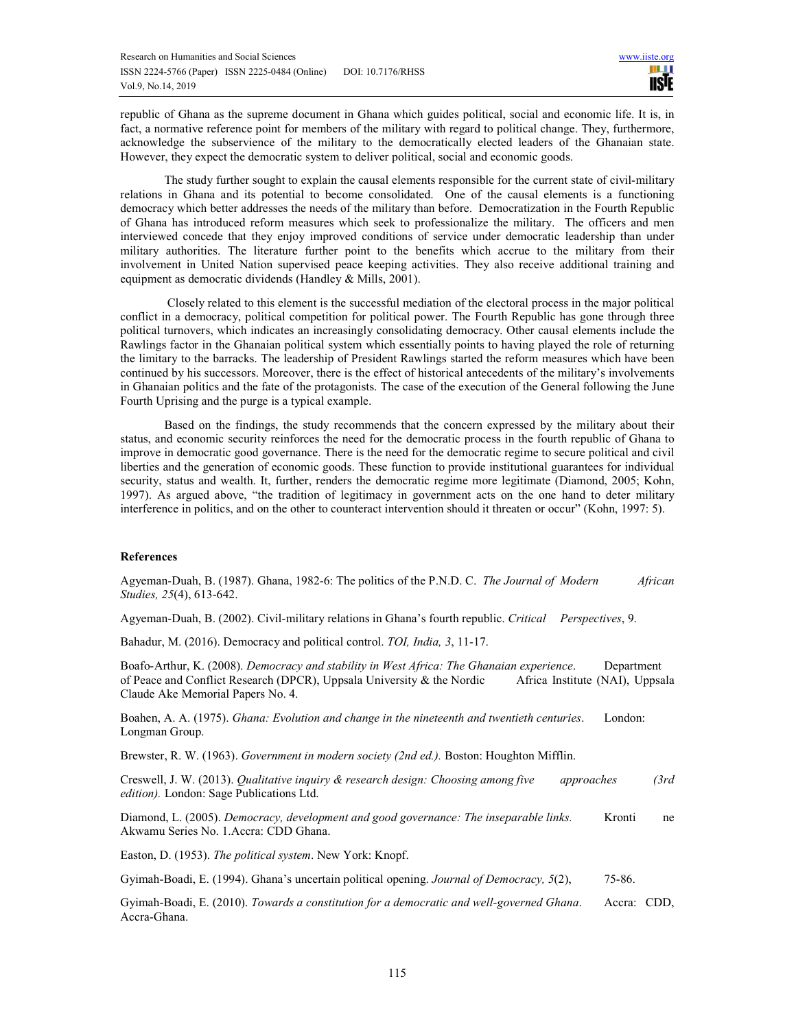republic of Ghana as the supreme document in Ghana which guides political, social and economic life. It is, in fact, a normative reference point for members of the military with regard to political change. They, furthermore, acknowledge the subservience of the military to the democratically elected leaders of the Ghanaian state. However, they expect the democratic system to deliver political, social and economic goods.

The study further sought to explain the causal elements responsible for the current state of civil-military relations in Ghana and its potential to become consolidated. One of the causal elements is a functioning democracy which better addresses the needs of the military than before. Democratization in the Fourth Republic of Ghana has introduced reform measures which seek to professionalize the military. The officers and men interviewed concede that they enjoy improved conditions of service under democratic leadership than under military authorities. The literature further point to the benefits which accrue to the military from their involvement in United Nation supervised peace keeping activities. They also receive additional training and equipment as democratic dividends (Handley & Mills, 2001).

 Closely related to this element is the successful mediation of the electoral process in the major political conflict in a democracy, political competition for political power. The Fourth Republic has gone through three political turnovers, which indicates an increasingly consolidating democracy. Other causal elements include the Rawlings factor in the Ghanaian political system which essentially points to having played the role of returning the limitary to the barracks. The leadership of President Rawlings started the reform measures which have been continued by his successors. Moreover, there is the effect of historical antecedents of the military's involvements in Ghanaian politics and the fate of the protagonists. The case of the execution of the General following the June Fourth Uprising and the purge is a typical example.

Based on the findings, the study recommends that the concern expressed by the military about their status, and economic security reinforces the need for the democratic process in the fourth republic of Ghana to improve in democratic good governance. There is the need for the democratic regime to secure political and civil liberties and the generation of economic goods. These function to provide institutional guarantees for individual security, status and wealth. It, further, renders the democratic regime more legitimate (Diamond, 2005; Kohn, 1997). As argued above, "the tradition of legitimacy in government acts on the one hand to deter military interference in politics, and on the other to counteract intervention should it threaten or occur" (Kohn, 1997: 5).

# **References**

Agyeman-Duah, B. (1987). Ghana, 1982-6: The politics of the P.N.D. C. *The Journal of Modern African Studies, 25*(4), 613-642.

Agyeman-Duah, B. (2002). Civil-military relations in Ghana's fourth republic. *Critical Perspectives*, 9.

Bahadur, M. (2016). Democracy and political control. *TOI, India, 3*, 11-17.

Boafo-Arthur, K. (2008). *Democracy and stability in West Africa: The Ghanaian experience*. Department of Peace and Conflict Research (DPCR), Uppsala University & the Nordic Africa Institute (NAI), Uppsala Claude Ake Memorial Papers No. 4.

Boahen, A. A. (1975). *Ghana: Evolution and change in the nineteenth and twentieth centuries*. London: Longman Group.

Brewster, R. W. (1963). *Government in modern society (2nd ed.).* Boston: Houghton Mifflin.

Creswell, J. W. (2013). *Qualitative inquiry & research design: Choosing among five approaches (3rd edition).* London: Sage Publications Ltd.

Diamond, L. (2005). *Democracy, development and good governance: The inseparable links.* Kronti ne Akwamu Series No. 1.Accra: CDD Ghana.

Easton, D. (1953). *The political system*. New York: Knopf.

Gyimah‐Boadi, E. (1994). Ghana's uncertain political opening. *Journal of Democracy, 5*(2), 75-86.

Gyimah‐Boadi, E. (2010). *Towards a constitution for a democratic and well-governed Ghana*. Accra: CDD, Accra-Ghana.